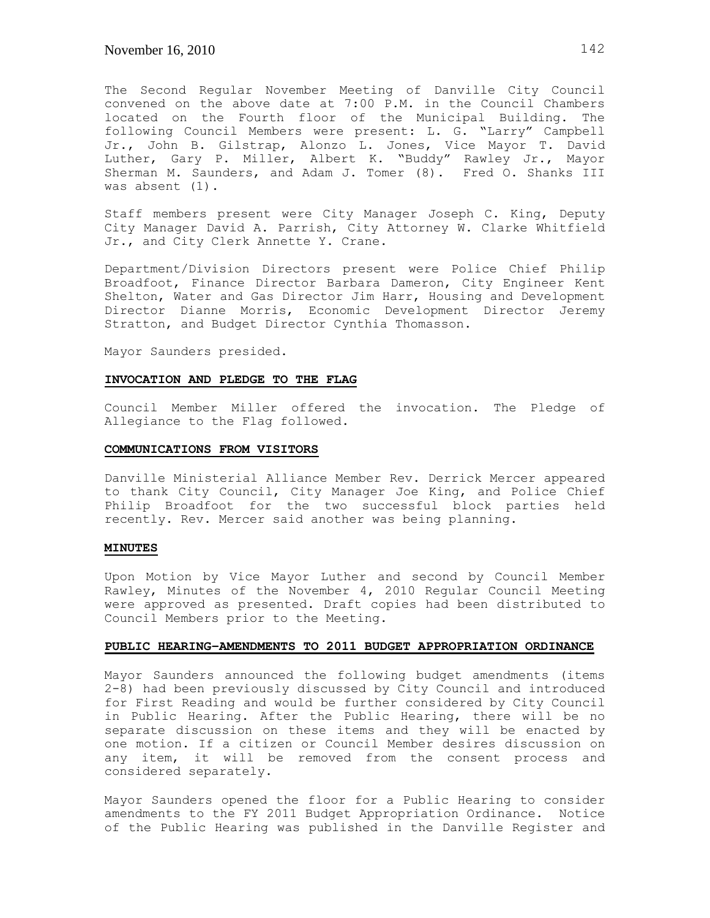The Second Regular November Meeting of Danville City Council convened on the above date at 7:00 P.M. in the Council Chambers located on the Fourth floor of the Municipal Building. The following Council Members were present: L. G. "Larry" Campbell Jr., John B. Gilstrap, Alonzo L. Jones, Vice Mayor T. David Luther, Gary P. Miller, Albert K. "Buddy" Rawley Jr., Mayor Sherman M. Saunders, and Adam J. Tomer (8). Fred O. Shanks III was absent (1).

Staff members present were City Manager Joseph C. King, Deputy City Manager David A. Parrish, City Attorney W. Clarke Whitfield Jr., and City Clerk Annette Y. Crane.

Department/Division Directors present were Police Chief Philip Broadfoot, Finance Director Barbara Dameron, City Engineer Kent Shelton, Water and Gas Director Jim Harr, Housing and Development Director Dianne Morris, Economic Development Director Jeremy Stratton, and Budget Director Cynthia Thomasson.

Mayor Saunders presided.

### **INVOCATION AND PLEDGE TO THE FLAG**

Council Member Miller offered the invocation. The Pledge of Allegiance to the Flag followed.

#### **COMMUNICATIONS FROM VISITORS**

Danville Ministerial Alliance Member Rev. Derrick Mercer appeared to thank City Council, City Manager Joe King, and Police Chief Philip Broadfoot for the two successful block parties held recently. Rev. Mercer said another was being planning.

## **MINUTES**

Upon Motion by Vice Mayor Luther and second by Council Member Rawley, Minutes of the November 4, 2010 Regular Council Meeting were approved as presented. Draft copies had been distributed to Council Members prior to the Meeting.

## **PUBLIC HEARING–AMENDMENTS TO 2011 BUDGET APPROPRIATION ORDINANCE**

Mayor Saunders announced the following budget amendments (items 2-8) had been previously discussed by City Council and introduced for First Reading and would be further considered by City Council in Public Hearing. After the Public Hearing, there will be no separate discussion on these items and they will be enacted by one motion. If a citizen or Council Member desires discussion on any item, it will be removed from the consent process and considered separately.

Mayor Saunders opened the floor for a Public Hearing to consider amendments to the FY 2011 Budget Appropriation Ordinance. Notice of the Public Hearing was published in the Danville Register and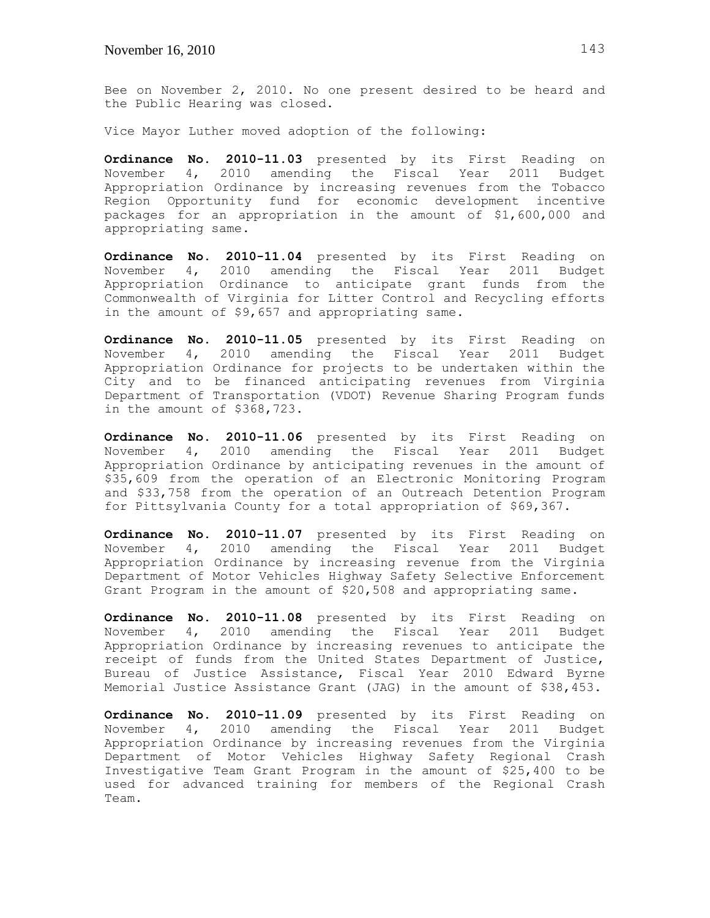Bee on November 2, 2010. No one present desired to be heard and the Public Hearing was closed.

Vice Mayor Luther moved adoption of the following:

**Ordinance No. 2010-11.03** presented by its First Reading on November 4, 2010 amending the Fiscal Year 2011 Budget Appropriation Ordinance by increasing revenues from the Tobacco Region Opportunity fund for economic development incentive packages for an appropriation in the amount of \$1,600,000 and appropriating same.

**Ordinance No. 2010-11.04** presented by its First Reading on November 4, 2010 amending the Fiscal Year 2011 Budget Appropriation Ordinance to anticipate grant funds from the Commonwealth of Virginia for Litter Control and Recycling efforts in the amount of \$9,657 and appropriating same.

**Ordinance No. 2010-11.05** presented by its First Reading on November 4, 2010 amending the Fiscal Year 2011 Budget Appropriation Ordinance for projects to be undertaken within the City and to be financed anticipating revenues from Virginia Department of Transportation (VDOT) Revenue Sharing Program funds in the amount of \$368,723.

**Ordinance No. 2010-11.06** presented by its First Reading on November 4, 2010 amending the Fiscal Year 2011 Budget Appropriation Ordinance by anticipating revenues in the amount of \$35,609 from the operation of an Electronic Monitoring Program and \$33,758 from the operation of an Outreach Detention Program for Pittsylvania County for a total appropriation of \$69,367.

**Ordinance No. 2010-11.07** presented by its First Reading on November 4, 2010 amending the Fiscal Year 2011 Budget Appropriation Ordinance by increasing revenue from the Virginia Department of Motor Vehicles Highway Safety Selective Enforcement Grant Program in the amount of \$20,508 and appropriating same.

**Ordinance No. 2010-11.08** presented by its First Reading on November 4, 2010 amending the Fiscal Year 2011 Budget Appropriation Ordinance by increasing revenues to anticipate the receipt of funds from the United States Department of Justice, Bureau of Justice Assistance, Fiscal Year 2010 Edward Byrne Memorial Justice Assistance Grant (JAG) in the amount of \$38,453.

**Ordinance No. 2010-11.09** presented by its First Reading on November 4, 2010 amending the Fiscal Year 2011 Budget Appropriation Ordinance by increasing revenues from the Virginia Department of Motor Vehicles Highway Safety Regional Crash Investigative Team Grant Program in the amount of \$25,400 to be used for advanced training for members of the Regional Crash Team.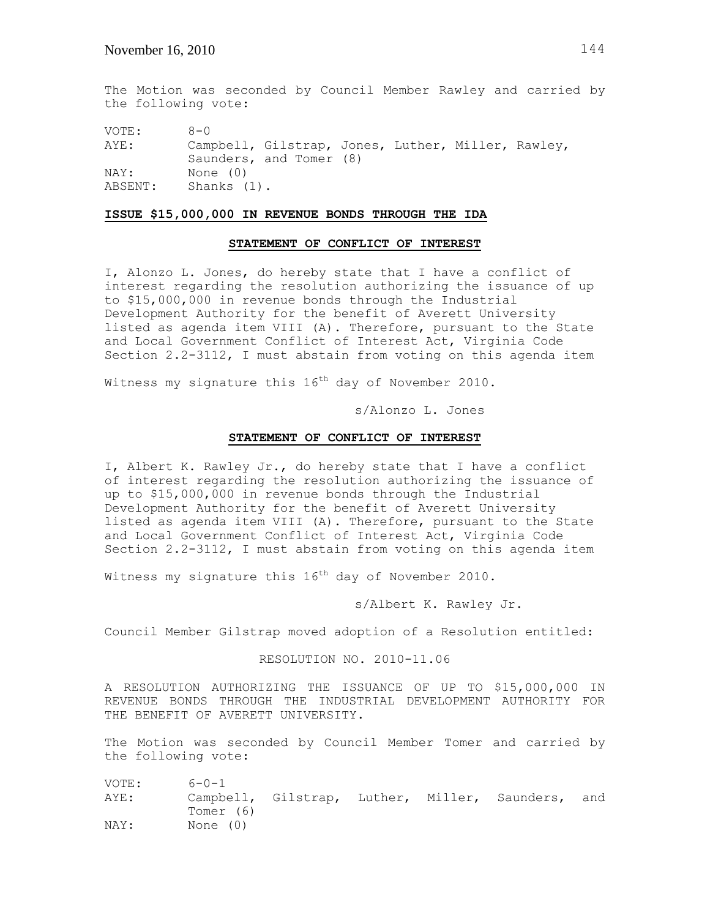The Motion was seconded by Council Member Rawley and carried by the following vote:

VOTE: 8-0 AYE: Campbell, Gilstrap, Jones, Luther, Miller, Rawley, Saunders, and Tomer (8) NAY: None (0) ABSENT: Shanks (1).

### **ISSUE \$15,000,000 IN REVENUE BONDS THROUGH THE IDA**

### **STATEMENT OF CONFLICT OF INTEREST**

I, Alonzo L. Jones, do hereby state that I have a conflict of interest regarding the resolution authorizing the issuance of up to \$15,000,000 in revenue bonds through the Industrial Development Authority for the benefit of Averett University listed as agenda item VIII (A). Therefore, pursuant to the State and Local Government Conflict of Interest Act, Virginia Code Section 2.2-3112, I must abstain from voting on this agenda item

Witness my signature this  $16<sup>th</sup>$  day of November 2010.

s/Alonzo L. Jones

#### **STATEMENT OF CONFLICT OF INTEREST**

I, Albert K. Rawley Jr., do hereby state that I have a conflict of interest regarding the resolution authorizing the issuance of up to \$15,000,000 in revenue bonds through the Industrial Development Authority for the benefit of Averett University listed as agenda item VIII (A). Therefore, pursuant to the State and Local Government Conflict of Interest Act, Virginia Code Section 2.2-3112, I must abstain from voting on this agenda item

Witness my signature this  $16<sup>th</sup>$  day of November 2010.

s/Albert K. Rawley Jr.

Council Member Gilstrap moved adoption of a Resolution entitled:

## RESOLUTION NO. 2010-11.06

A RESOLUTION AUTHORIZING THE ISSUANCE OF UP TO \$15,000,000 IN REVENUE BONDS THROUGH THE INDUSTRIAL DEVELOPMENT AUTHORITY FOR THE BENEFIT OF AVERETT UNIVERSITY.

The Motion was seconded by Council Member Tomer and carried by the following vote:

VOTE: 6-0-1 AYE: Campbell, Gilstrap, Luther, Miller, Saunders, and Tomer (6) NAY: None (0)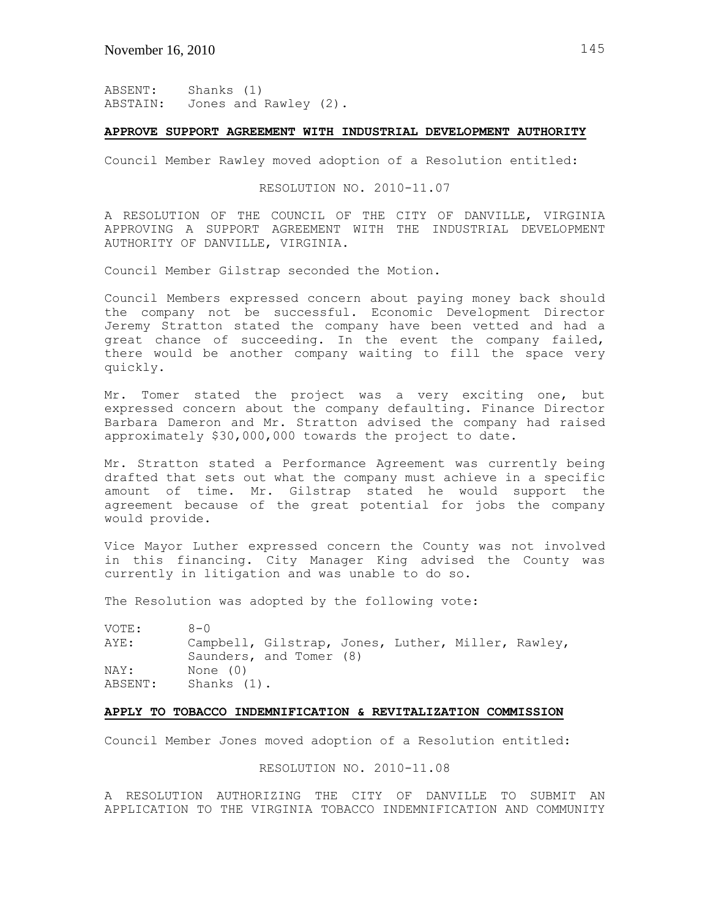ABSENT: Shanks (1) ABSTAIN: Jones and Rawley (2).

### **APPROVE SUPPORT AGREEMENT WITH INDUSTRIAL DEVELOPMENT AUTHORITY**

Council Member Rawley moved adoption of a Resolution entitled:

# RESOLUTION NO. 2010-11.07

A RESOLUTION OF THE COUNCIL OF THE CITY OF DANVILLE, VIRGINIA APPROVING A SUPPORT AGREEMENT WITH THE INDUSTRIAL DEVELOPMENT AUTHORITY OF DANVILLE, VIRGINIA.

Council Member Gilstrap seconded the Motion.

Council Members expressed concern about paying money back should the company not be successful. Economic Development Director Jeremy Stratton stated the company have been vetted and had a great chance of succeeding. In the event the company failed, there would be another company waiting to fill the space very quickly.

Mr. Tomer stated the project was a very exciting one, but expressed concern about the company defaulting. Finance Director Barbara Dameron and Mr. Stratton advised the company had raised approximately \$30,000,000 towards the project to date.

Mr. Stratton stated a Performance Agreement was currently being drafted that sets out what the company must achieve in a specific amount of time. Mr. Gilstrap stated he would support the agreement because of the great potential for jobs the company would provide.

Vice Mayor Luther expressed concern the County was not involved in this financing. City Manager King advised the County was currently in litigation and was unable to do so.

The Resolution was adopted by the following vote:

VOTE: 8-0 AYE: Campbell, Gilstrap, Jones, Luther, Miller, Rawley, Saunders, and Tomer (8) NAY: None (0) ABSENT: Shanks (1).

# **APPLY TO TOBACCO INDEMNIFICATION & REVITALIZATION COMMISSION**

Council Member Jones moved adoption of a Resolution entitled:

## RESOLUTION NO. 2010-11.08

A RESOLUTION AUTHORIZING THE CITY OF DANVILLE TO SUBMIT AN APPLICATION TO THE VIRGINIA TOBACCO INDEMNIFICATION AND COMMUNITY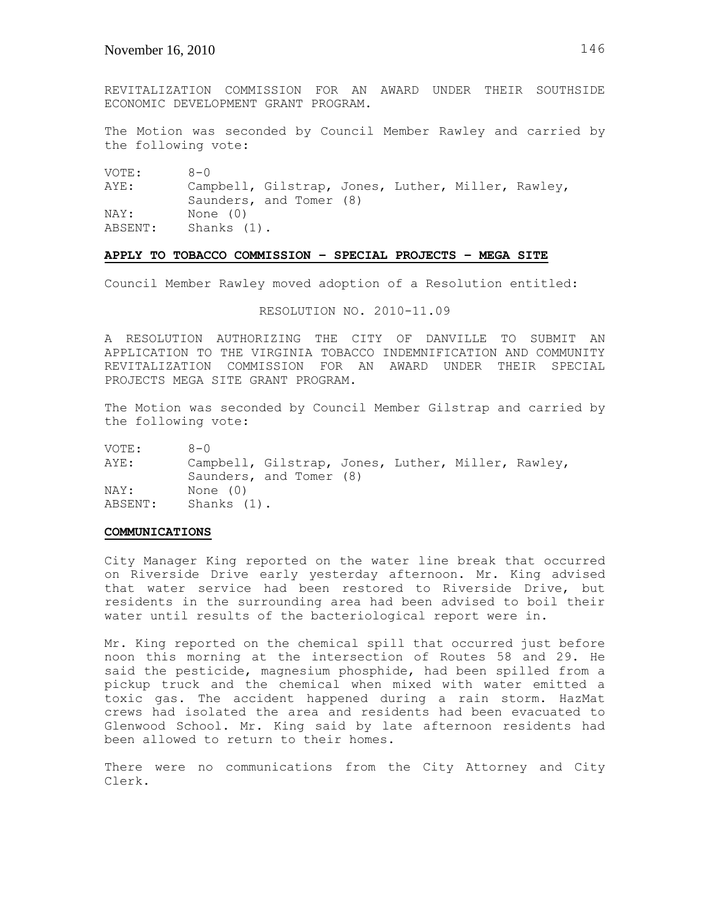REVITALIZATION COMMISSION FOR AN AWARD UNDER THEIR SOUTHSIDE ECONOMIC DEVELOPMENT GRANT PROGRAM.

The Motion was seconded by Council Member Rawley and carried by the following vote:

VOTE: 8-0

AYE: Campbell, Gilstrap, Jones, Luther, Miller, Rawley, Saunders, and Tomer (8) NAY: None (0) ABSENT: Shanks (1).

## **APPLY TO TOBACCO COMMISSION – SPECIAL PROJECTS – MEGA SITE**

Council Member Rawley moved adoption of a Resolution entitled:

RESOLUTION NO. 2010-11.09

A RESOLUTION AUTHORIZING THE CITY OF DANVILLE TO SUBMIT AN APPLICATION TO THE VIRGINIA TOBACCO INDEMNIFICATION AND COMMUNITY REVITALIZATION COMMISSION FOR AN AWARD UNDER THEIR SPECIAL PROJECTS MEGA SITE GRANT PROGRAM.

The Motion was seconded by Council Member Gilstrap and carried by the following vote:

VOTE: 8-0 AYE: Campbell, Gilstrap, Jones, Luther, Miller, Rawley, Saunders, and Tomer (8) NAY: None (0) ABSENT: Shanks (1).

#### **COMMUNICATIONS**

City Manager King reported on the water line break that occurred on Riverside Drive early yesterday afternoon. Mr. King advised that water service had been restored to Riverside Drive, but residents in the surrounding area had been advised to boil their water until results of the bacteriological report were in.

Mr. King reported on the chemical spill that occurred just before noon this morning at the intersection of Routes 58 and 29. He said the pesticide, magnesium phosphide, had been spilled from a pickup truck and the chemical when mixed with water emitted a toxic gas. The accident happened during a rain storm. HazMat crews had isolated the area and residents had been evacuated to Glenwood School. Mr. King said by late afternoon residents had been allowed to return to their homes.

There were no communications from the City Attorney and City Clerk.